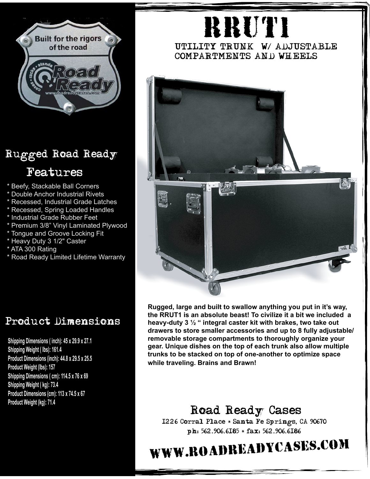

### Rugged Road Ready

#### Features

- \* Beefy, Stackable Ball Corners
- \* Double Anchor Industrial Rivets
- \* Recessed, Industrial Grade Latches
- \* Recessed, Spring Loaded Handles
- \* Industrial Grade Rubber Feet
- \* Premium 3/8" Vinyl Laminated Plywood
- \* Tongue and Groove Locking Fit
- \* Heavy Duty 3 1/2" Caster
- \* ATA 300 Rating
- \* Road Ready Limited Lifetime Warranty

# RRUT1

#### UTILITY TRUNK W/ ADJUSTABLE COMPARTMENTS AND WHEELS



**Rugged, large and built to swallow anything you put in it's way, the RRUT1 is an absolute beast! To civilize it a bit we included a heavy-duty 3 ½ " integral caster kit with brakes, two take out drawers to store smaller accessories and up to 8 fully adjustable/ removable storage compartments to thoroughly organize your gear. Unique dishes on the top of each trunk also allow multiple trunks to be stacked on top of one-another to optimize space while traveling. Brains and Brawn!**

#### Road Ready Cases

1226 Corral Place \* Santa Fe Springs, CA 90670 ph: 562.906.6185 \* fax: 562.906.6186

## www.roadreadycases.com

#### Product Dimensions

**Shipping Dimensions ( inch): 45 x 29.9 x 27.1 Shipping Weight ( lbs): 161.4 Product Dimensions (inch): 44.8 x 29.5 x 25.5 Product Weight (lbs): 157 Shipping Dimensions ( cm): 114.5 x 76 x 69 Shipping Weight ( kg): 73.4 Product Dimensions (cm): 113 x 74.5 x 67 Product Weight (kg): 71.4**